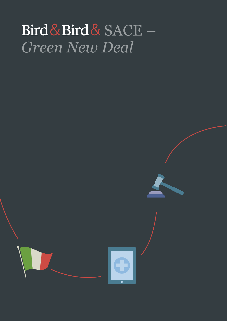# Bird & Bird & SACE -*Green New Deal*



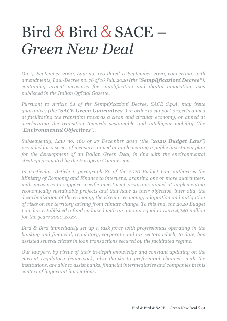# Bird & Bird & SACE – *Green New Deal*

*On 15 September 2020, Law no. 120 dated 11 September 2020, converting, with amendments, Law-Decree no. 76 of 16 July 2020 (the "Semplificazioni Decree"), containing urgent measures for simplification and digital innovation, was published in the Italian Official Gazette.*

*Pursuant to Article 64 of the Semplificazioni Decree, SACE S.p.A. may issue guarantees (the "SACE Green Guarantees") in order to support projects aimed at facilitating the transition towards a clean and circular economy, or aimed at accelerating the transition towards sustainable and intelligent mobility (the "Environmental Objectives").*

*Subsequently, Law no. 160 of 27 December 2019 (the "2020 Budget Law") provided for a series of measures aimed at implementing a public investment plan for the development of an Italian Green Deal, in line with the environmental strategy promoted by the European Commission.*

*In particular, Article 1, paragraph 86 of the 2020 Budget Law authorizes the Ministry of Economy and Finance to intervene, granting one or more guarantees,*  with measures to support specific investment programs aimed at implementing *economically sustainable projects and that have as their objective, inter alia, the decarbonization of the economy, the circular economy, adaptation and mitigation of risks on the territory arising from climate change. To this end, the 2020 Budget Law has established a fund endowed with an amount equal to Euro 4,240 million for the years 2020-2023.*

*Bird & Bird immediately set up a task force with professionals operating in the banking and financial, regulatory, corporate and tax sectors which, to date, has assisted several clients in loan transactions secured by the facilitated regime.*

*Our lawyers, by virtue of their in-depth knowledge and constant updating on the current regulatory framework, also thanks to preferential channels with the institutions, are able to assist banks, financial intermediaries and companies in this context of important innovations.*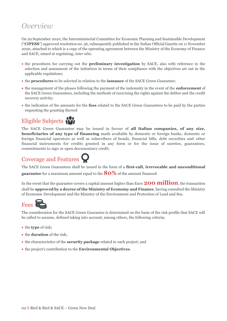## *Overview*

On 29 September 2020, the Interministerial Committee for Economic Planning and Sustainable Development ("**CIPESS**") approved resolution no. 56, subsequently published in the Italian Official Gazette on 11 November 2020, attached to which is a copy of the operating agreement between the Ministry of the Economy of Finance and SACE, aimed at regulating, *inter alia:*

- the procedures for carrying out the **preliminary investigation** by SACE, also with reference to the selection and assessment of the initiatives in terms of their compliance with the objectives set out in the applicable regulations;
- the **procedures** to be selected in relation to the **issuance** of the SACE Green Guarantee;
- the management of the phases following the payment of the indemnity in the event of the **enforcement** of the SACE Green Guarantees, including the methods of exercising the rights against the debtor and the credit recovery activity;
- the indication of the amounts for the **fees** related to the SACE Green Guarantees to be paid by the parties requesting the granting thereof.



The SACE Green Guarantee may be issued in favour of **all Italian companies, of any size, beneficiaries of any type of financing** made available by domestic or foreign banks, domestic or foreign financial operators as well as subscribers of bonds, financial bills, debt securities and other financial instruments for credits granted in any form or for the issue of sureties, guarantees, commitments to sign or open documentary credit.

# Coverage and Features

The SACE Green Guarantees shall be issued in the form of a **first-call, irrevocable and unconditional guarantee** for a maximum amount equal to the **80%** of the amount financed.

In the event that the guarantee covers a capital amount higher than Euro **200 million**, the transaction shall be **approved by a decree of the Ministry of Economy and Finance**, having consulted the Ministry of Economic Development and the Ministry of the Environment and Protection of Land and Sea.



The consideration for the SACE Green Guarantee is determined on the basis of the risk profile that SACE will be called to assume, defined taking into account, among others, the following criteria:

- the **type** of risk;
- the **duration** of the risk;
- the characteristics of the **security package** related to each project; and
- the project's contribution to the **Environmental Objectives**.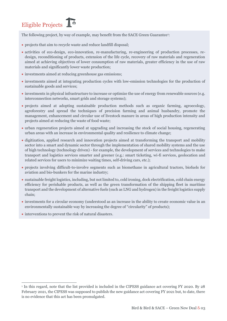# Eligible Projects

The following project, by way of example, may benefit from the SACE Green Guarantee<sup>1</sup>:

- projects that aim to recycle waste and reduce landfill disposal;
- activities of eco-design, eco-innovation, re-manufacturing, re-engineering of production processes, redesign, reconditioning of products, extension of the life cycle, recovery of raw materials and regeneration aimed at achieving objectives of lower consumption of raw materials, greater efficiency in the use of raw materials and significantly lower waste production;
- investments aimed at reducing greenhouse gas emissions;
- investments aimed at integrating production cycles with low-emission technologies for the production of sustainable goods and services;
- investments in physical infrastructure to increase or optimize the use of energy from renewable sources (e.g. interconnection networks, smart grids and storage systems);
- projects aimed at adopting sustainable production methods such as organic farming, agroecology, agroforestry and spread the techniques of precision farming and animal husbandry, promote the management, enhancement and circular use of livestock manure in areas of high production intensity and projects aimed at reducing the waste of food waste;
- urban regeneration projects aimed at upgrading and increasing the stock of social housing, regenerating urban areas with an increase in environmental quality and resilience to climate change;
- digitization, applied research and innovation projects aimed at transforming the transport and mobility sector into a smart and dynamic sector through the implementation of shared mobility systems and the use of high technology (technology driven) - for example, the development of services and technologies to make transport and logistics services smarter and greener (e.g.: smart ticketing, wi-fi services, geolocation and related services for users to minimize waiting times, self-driving cars, etc.);
- projects involving difficult-to-involve segments such as biomethane in agricultural tractors, biofuels for aviation and bio-bunkers for the marine industry;
- sustainable freight logistics, including, but not limited to, cold ironing, dock electrification, cold chain energy efficiency for perishable products, as well as the green transformation of the shipping fleet in maritime transport and the development of alternative fuels (such as LNG and hydrogen) in the freight logistics supply chain;
- investments for a circular economy (understood as an increase in the ability to create economic value in an environmentally sustainable way by increasing the degree of "circularity" of products);
- interventions to prevent the risk of natural disasters.

<sup>1</sup> In this regard, note that the list provided is included in the CIPESS guidance act covering FY 2020. By 28 February 2021, the CIPESS was supposed to publish the new guidance act covering FY 2021 but, to date, there is no evidence that this act has been promulgated.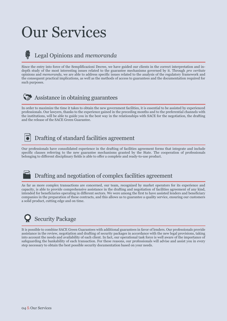# Our Services

### Legal Opinions and *memoranda*

Since the entry into force of the Semplificazioni Decree, we have guided our clients in the correct interpretation and indepth study of the most interesting issues related to the guarantee mechanisms governed by it. Through *pro veritate* opinions and *memoranda*, we are able to address specific issues related to the analysis of the regulatory framework and the consequent practical implications, as well as the methods of access to guarantees and the documentation required for such purposes.



#### Assistance in obtaining guarantees

In order to maximize the time it takes to obtain the new government facilities, it is essential to be assisted by experienced professionals. Our lawyers, thanks to the experience gained in the preceding months and to the preferential channels with the institutions, will be able to guide you in the best way in the relationships with SACE for the negotiation, the drafting and the release of the SACE Green Guarantee.

### Drafting of standard facilities agreement

Our professionals have consolidated experience in the drafting of facilities agreement forms that integrate and include specific clauses referring to the new guarantee mechanisms granted by the State. The cooperation of professionals belonging to different disciplinary fields is able to offer a complete and ready-to-use product.

### Drafting and negotiation of complex facilities agreement

As far as more complex transactions are concerned, our team, recognized by market operators for its experience and capacity, is able to provide comprehensive assistance in the drafting and negotiation of facilities agreement of any kind, intended for beneficiaries operating in different sectors. We were among the first to have assisted lenders and beneficiary companies in the preparation of these contracts, and this allows us to guarantee a quality service, ensuring our customers a solid product, cutting edge and on time.

# Security Package

It is possible to combine SACE Green Guarantees with additional guarantees in favor of lenders. Our professionals provide assistance in the review, negotiation and drafting of security packages in accordance with the new legal provisions, taking into account the needs and availability of each client. In fact, our operational task force is well aware of the importance of safeguarding the bankability of each transaction. For these reasons, our professionals will advise and assist you in every step necessary to obtain the best possible security documentation based on your needs.